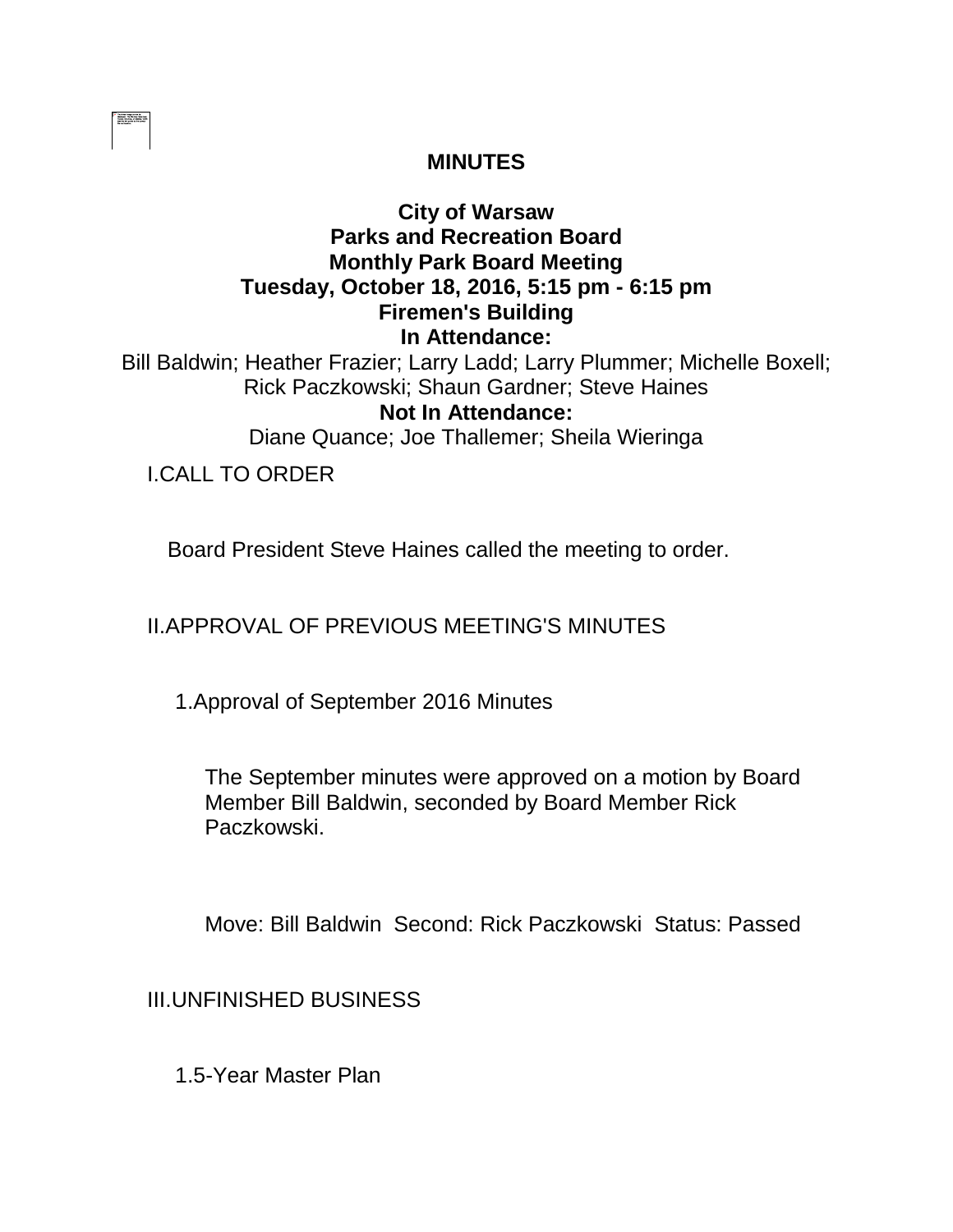| ------- |  |  |  |  |  |
|---------|--|--|--|--|--|
|         |  |  |  |  |  |
|         |  |  |  |  |  |
|         |  |  |  |  |  |
|         |  |  |  |  |  |
|         |  |  |  |  |  |

### **MINUTES**

# **City of Warsaw Parks and Recreation Board Monthly Park Board Meeting Tuesday, October 18, 2016, 5:15 pm - 6:15 pm Firemen's Building In Attendance:**

Bill Baldwin; Heather Frazier; Larry Ladd; Larry Plummer; Michelle Boxell; Rick Paczkowski; Shaun Gardner; Steve Haines **Not In Attendance:** 

Diane Quance; Joe Thallemer; Sheila Wieringa

I.CALL TO ORDER

Board President Steve Haines called the meeting to order.

II.APPROVAL OF PREVIOUS MEETING'S MINUTES

1.Approval of September 2016 Minutes

The September minutes were approved on a motion by Board Member Bill Baldwin, seconded by Board Member Rick Paczkowski.

Move: Bill Baldwin Second: Rick Paczkowski Status: Passed

III.UNFINISHED BUSINESS

1.5-Year Master Plan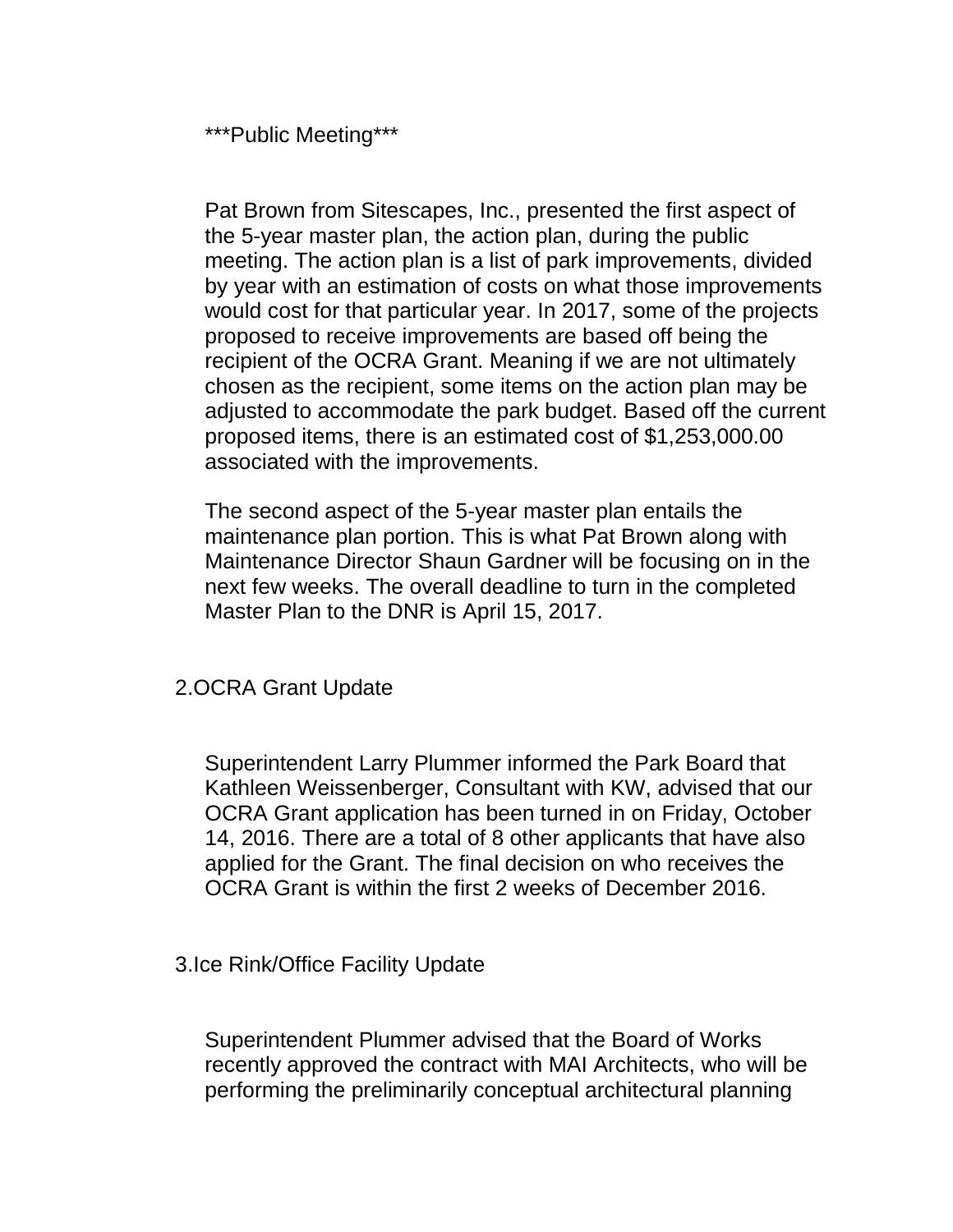\*\*\*Public Meeting\*\*\*

Pat Brown from Sitescapes, Inc., presented the first aspect of the 5-year master plan, the action plan, during the public meeting. The action plan is a list of park improvements, divided by year with an estimation of costs on what those improvements would cost for that particular year. In 2017, some of the projects proposed to receive improvements are based off being the recipient of the OCRA Grant. Meaning if we are not ultimately chosen as the recipient, some items on the action plan may be adjusted to accommodate the park budget. Based off the current proposed items, there is an estimated cost of \$1,253,000.00 associated with the improvements.

The second aspect of the 5-year master plan entails the maintenance plan portion. This is what Pat Brown along with Maintenance Director Shaun Gardner will be focusing on in the next few weeks. The overall deadline to turn in the completed Master Plan to the DNR is April 15, 2017.

### 2.OCRA Grant Update

Superintendent Larry Plummer informed the Park Board that Kathleen Weissenberger, Consultant with KW, advised that our OCRA Grant application has been turned in on Friday, October 14, 2016. There are a total of 8 other applicants that have also applied for the Grant. The final decision on who receives the OCRA Grant is within the first 2 weeks of December 2016.

#### 3.Ice Rink/Office Facility Update

Superintendent Plummer advised that the Board of Works recently approved the contract with MAI Architects, who will be performing the preliminarily conceptual architectural planning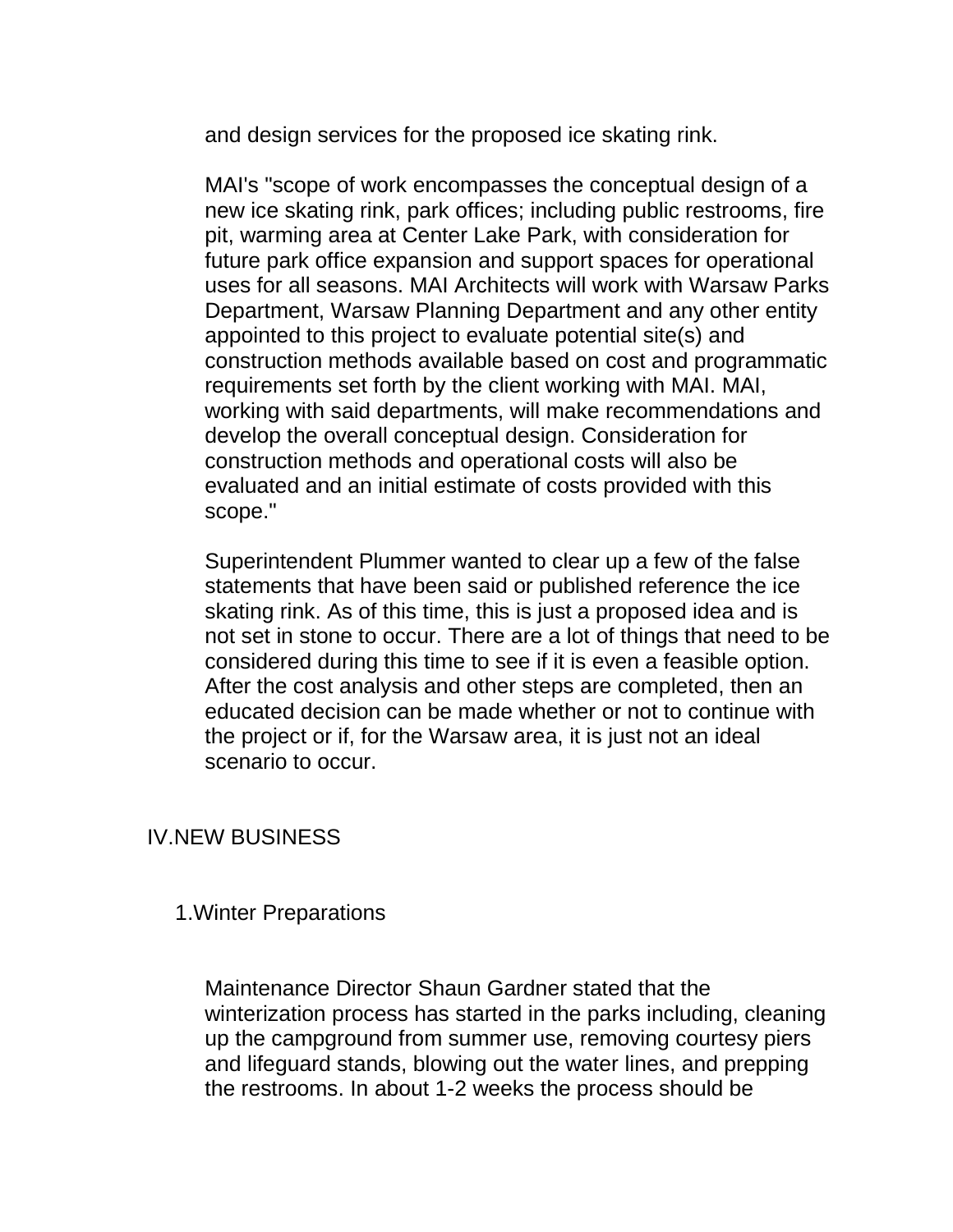and design services for the proposed ice skating rink.

MAI's "scope of work encompasses the conceptual design of a new ice skating rink, park offices; including public restrooms, fire pit, warming area at Center Lake Park, with consideration for future park office expansion and support spaces for operational uses for all seasons. MAI Architects will work with Warsaw Parks Department, Warsaw Planning Department and any other entity appointed to this project to evaluate potential site(s) and construction methods available based on cost and programmatic requirements set forth by the client working with MAI. MAI, working with said departments, will make recommendations and develop the overall conceptual design. Consideration for construction methods and operational costs will also be evaluated and an initial estimate of costs provided with this scope."

Superintendent Plummer wanted to clear up a few of the false statements that have been said or published reference the ice skating rink. As of this time, this is just a proposed idea and is not set in stone to occur. There are a lot of things that need to be considered during this time to see if it is even a feasible option. After the cost analysis and other steps are completed, then an educated decision can be made whether or not to continue with the project or if, for the Warsaw area, it is just not an ideal scenario to occur.

### IV.NEW BUSINESS

### 1.Winter Preparations

Maintenance Director Shaun Gardner stated that the winterization process has started in the parks including, cleaning up the campground from summer use, removing courtesy piers and lifeguard stands, blowing out the water lines, and prepping the restrooms. In about 1-2 weeks the process should be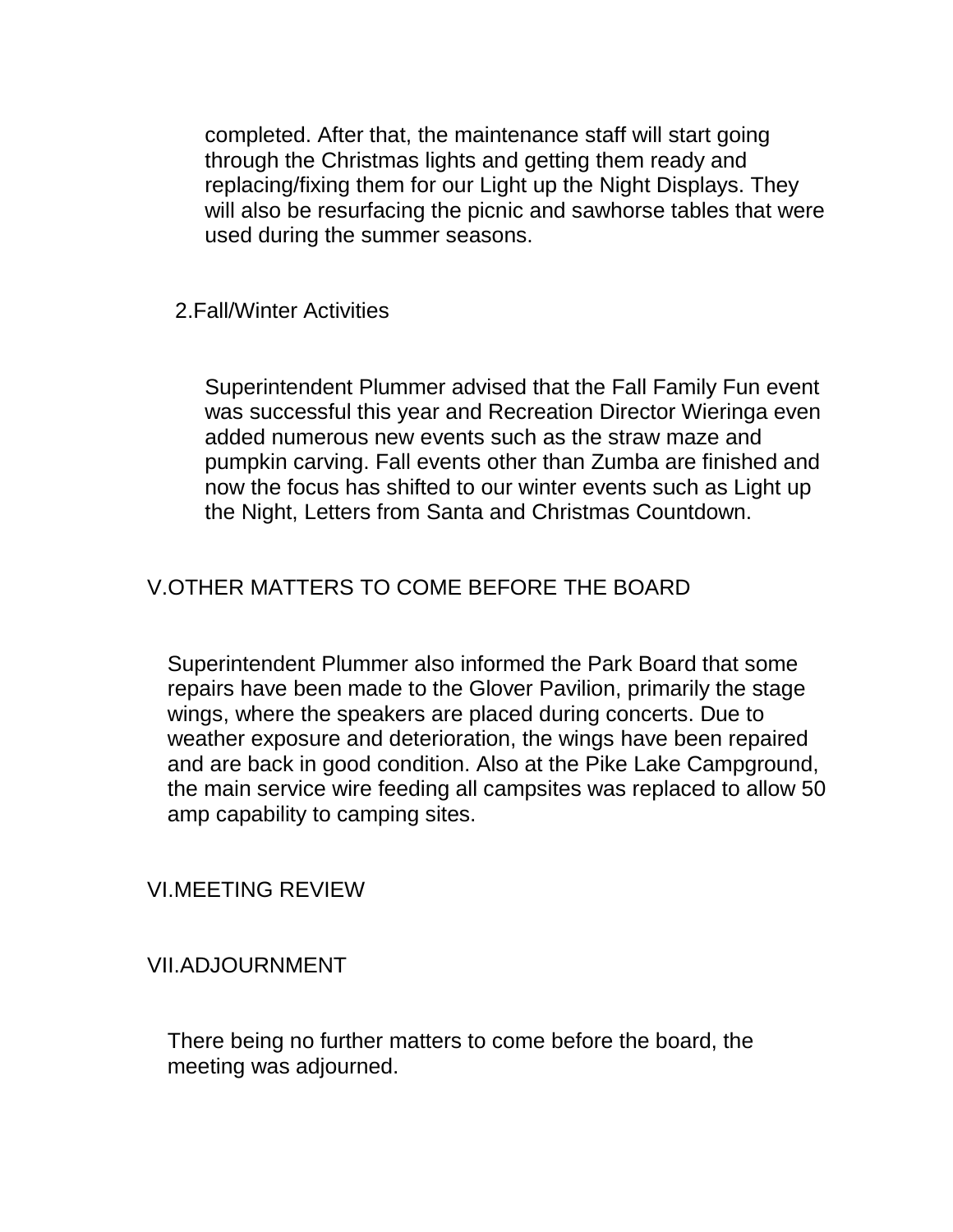completed. After that, the maintenance staff will start going through the Christmas lights and getting them ready and replacing/fixing them for our Light up the Night Displays. They will also be resurfacing the picnic and sawhorse tables that were used during the summer seasons.

### 2.Fall/Winter Activities

Superintendent Plummer advised that the Fall Family Fun event was successful this year and Recreation Director Wieringa even added numerous new events such as the straw maze and pumpkin carving. Fall events other than Zumba are finished and now the focus has shifted to our winter events such as Light up the Night, Letters from Santa and Christmas Countdown.

## V.OTHER MATTERS TO COME BEFORE THE BOARD

Superintendent Plummer also informed the Park Board that some repairs have been made to the Glover Pavilion, primarily the stage wings, where the speakers are placed during concerts. Due to weather exposure and deterioration, the wings have been repaired and are back in good condition. Also at the Pike Lake Campground, the main service wire feeding all campsites was replaced to allow 50 amp capability to camping sites.

VI.MEETING REVIEW

VII.ADJOURNMENT

There being no further matters to come before the board, the meeting was adjourned.